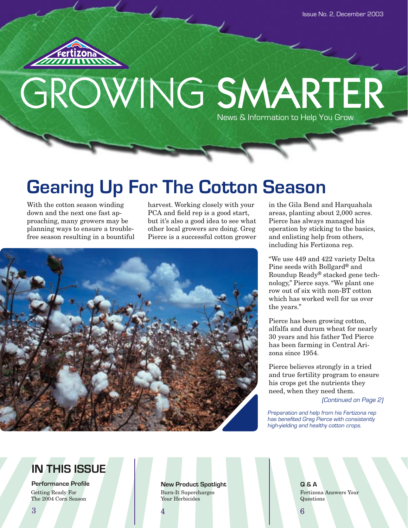

# GROWING SMARTER News & Information to Help You Grow

# **Gearing Up For The Cotton Season**

With the cotton season winding down and the next one fast approaching, many growers may be planning ways to ensure a troublefree season resulting in a bountiful harvest. Working closely with your PCA and field rep is a good start, but it's also a good idea to see what other local growers are doing. Greg Pierce is a successful cotton grower



in the Gila Bend and Harquahala areas, planting about 2,000 acres. Pierce has always managed his operation by sticking to the basics, and enlisting help from others, including his Fertizona rep.

"We use 449 and 422 variety Delta Pine seeds with Bollgard® and Roundup Ready® stacked gene technology," Pierce says. "We plant one row out of six with non-BT cotton which has worked well for us over the years."

Pierce has been growing cotton, alfalfa and durum wheat for nearly 30 years and his father Ted Pierce has been farming in Central Arizona since 1954.

Pierce believes strongly in a tried and true fertility program to ensure his crops get the nutrients they need, when they need them.

(Continued on Page 2)

Preparation and help from his Fertizona rep has benefited Greg Pierce with consistently high-yielding and healthy cotton crops.

Fertizona Answers Your

## **IN THIS ISSUE**

**Performance Profile** Getting Ready For The 2004 Corn Season

**New Product Spotlight Q & A** Burn-It Supercharges Your Herbicides

Questions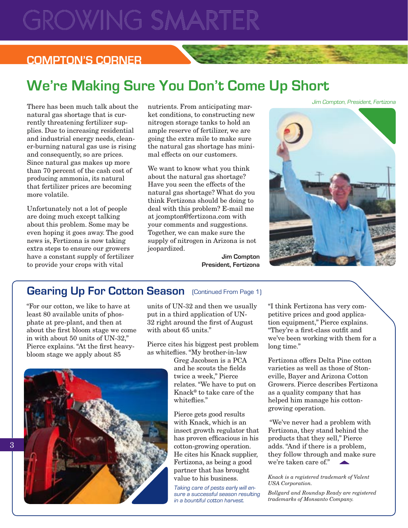# **GROWING SMARTER**

## **COMPTON'S CORNER**

## **We're Making Sure You Don't Come Up Short**

There has been much talk about the natural gas shortage that is currently threatening fertilizer supplies. Due to increasing residential and industrial energy needs, cleaner-burning natural gas use is rising and consequently, so are prices. Since natural gas makes up more than 70 percent of the cash cost of producing ammonia, its natural that fertilizer prices are becoming more volatile.

Unfortunately not a lot of people are doing much except talking about this problem. Some may be even hoping it goes away. The good news is, Fertizona is now taking extra steps to ensure our growers have a constant supply of fertilizer to provide your crops with vital

nutrients. From anticipating market conditions, to constructing new nitrogen storage tanks to hold an ample reserve of fertilizer, we are going the extra mile to make sure the natural gas shortage has minimal effects on our customers.

We want to know what you think about the natural gas shortage? Have you seen the effects of the natural gas shortage? What do you think Fertizona should be doing to deal with this problem? E-mail me at jcompton@fertizona.com with your comments and suggestions. Together, we can make sure the supply of nitrogen in Arizona is not jeopardized.

Jim Compton, President, Fertizona

**Jim Compton President, Fertizona**

## Gearing Up For Cotton Season (Continued From Page 1)

"For our cotton, we like to have at least 80 available units of phosphate at pre-plant, and then at about the first bloom stage we come in with about 50 units of UN-32," Pierce explains. "At the first heavybloom stage we apply about 85

units of UN-32 and then we usually put in a third application of UN-32 right around the first of August with about 65 units."

Pierce cites his biggest pest problem as whiteflies. "My brother-in-law

Greg Jacobsen is a PCA and he scouts the fields twice a week," Pierce relates. "We have to put on Knack® to take care of the whiteflies."

Pierce gets good results with Knack, which is an insect growth regulator that has proven efficacious in his cotton-growing operation. He cites his Knack supplier, Fertizona, as being a good partner that has brought value to his business.

Taking care of pests early will ensure a successful season resulting in a bountiful cotton harvest.

"I think Fertizona has very competitive prices and good application equipment," Pierce explains. "They're a first-class outfit and we've been working with them for a long time."

Fertizona offers Delta Pine cotton varieties as well as those of Stoneville, Bayer and Arizona Cotton Growers. Pierce describes Fertizona as a quality company that has helped him manage his cottongrowing operation.

 "We've never had a problem with Fertizona, they stand behind the products that they sell," Pierce they follow through and make sure we're taken care of."

#### *Knack is a registered trademark of Valent USA Corporation.*

*Bollgard and Roundup Ready are registered trademarks of Monsanto Company.*

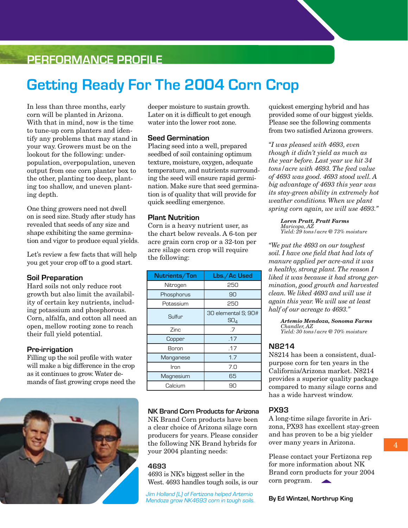## **PERFORMANCE PROFILE**

## **Getting Ready For The 2004 Corn Crop**

In less than three months, early corn will be planted in Arizona. With that in mind, now is the time to tune-up corn planters and identify any problems that may stand in your way. Growers must be on the lookout for the following: underpopulation, overpopulation, uneven output from one corn planter box to the other, planting too deep, planting too shallow, and uneven planting depth.

One thing growers need not dwell on is seed size. Study after study has revealed that seeds of any size and shape exhibiting the same germination and vigor to produce equal yields.

Let's review a few facts that will help you get your crop off to a good start.

### **Soil Preparation**

Hard soils not only reduce root growth but also limit the availability of certain key nutrients, including potassium and phosphorous. Corn, alfalfa, and cotton all need an open, mellow rooting zone to reach their full yield potential.

### **Pre-irrigation**

Filling up the soil profile with water will make a big difference in the crop as it continues to grow. Water demands of fast growing crops need the



deeper moisture to sustain growth. Later on it is difficult to get enough water into the lower root zone.

#### **Seed Germination**

Placing seed into a well, prepared seedbed of soil containing optimum texture, moisture, oxygen, adequate temperature, and nutrients surrounding the seed will ensure rapid germination. Make sure that seed germination is of quality that will provide for quick seedling emergence.

### **Plant Nutrition**

Corn is a heavy nutrient user, as the chart below reveals. A 6-ton per acre grain corn crop or a 32-ton per acre silage corn crop will require the following:

| Nutrients/Ton | Lbs./Ac Used                           |  |  |  |  |  |
|---------------|----------------------------------------|--|--|--|--|--|
| Nitrogen      | 250                                    |  |  |  |  |  |
| Phosphorus    | 90                                     |  |  |  |  |  |
| Potassium     | 250                                    |  |  |  |  |  |
| Sulfur        | 30 elemental S; 90#<br>SO <sub>4</sub> |  |  |  |  |  |
| Zinc          | .7                                     |  |  |  |  |  |
| Copper        | .17                                    |  |  |  |  |  |
| Boron         | .17                                    |  |  |  |  |  |
| Manganese     | 1.7                                    |  |  |  |  |  |
| Iron          | 7.0                                    |  |  |  |  |  |
| Magnesium     | 65                                     |  |  |  |  |  |
| Calcium       | .9П                                    |  |  |  |  |  |

#### **NK Brand Corn Products for Arizona**

NK Brand Corn products have been a clear choice of Arizona silage corn producers for years. Please consider the following NK Brand hybrids for your 2004 planting needs:

#### **4693**

4693 is NK's biggest seller in the West. 4693 handles tough soils, is our

Jim Holland (L) of Fertizona helped Artemio Mendoza grow NK4693 corn in tough soils. quickest emerging hybrid and has provided some of our biggest yields. Please see the following comments from two satisfied Arizona growers.

*"I was pleased with 4693, even though it didn't yield as much as the year before. Last year we hit 34 tons/acre with 4693. The feed value of 4693 was good. 4693 stood well. A big advantage of 4693 this year was its stay-green ability in extremely hot weather conditions. When we plant spring corn again, we will use 4693."*

*Loren Pratt, Pratt Farms Maricopa, AZ Yield: 29 tons/acre @ 73% moisture*

*"We put the 4693 on our toughest soil. I have one field that had lots of manure applied per acre-and it was a healthy, strong plant. The reason I liked it was because it had strong germination, good growth and harvested clean. We liked 4693 and will use it again this year. We will use at least half of our acreage to 4693."*

> *Artemio Mendoza, Sonoma Farms Chandler, AZ Yield: 30 tons/acre @ 70% moisture*

### **N8214**

N8214 has been a consistent, dualpurpose corn for ten years in the California/Arizona market. N8214 provides a superior quality package compared to many silage corns and has a wide harvest window.

#### **PX93**

A long-time silage favorite in Arizona, PX93 has excellent stay-green and has proven to be a big yielder over many years in Arizona.

Please contact your Fertizona rep for more information about NK Brand corn products for your 2004 corn program.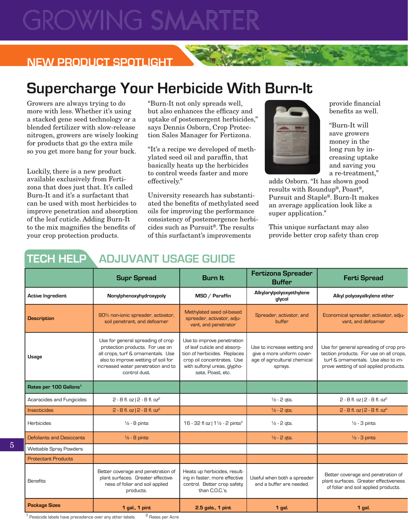# WING SN

## **NEW PRODUCT SPOTLIGHT**

## **Supercharge Your Herbicide With Burn-It**

Growers are always trying to do more with less. Whether it's using a stacked gene seed technology or a blended fertilizer with slow-release nitrogen, growers are wisely looking for products that go the extra mile so you get more bang for your buck.

Luckily, there is a new product available exclusively from Fertizona that does just that. It's called Burn-It and it's a surfactant that can be used with most herbicides to improve penetration and absorption of the leaf cuticle. Adding Burn-It to the mix magnifies the benefits of your crop protection products.

"Burn-It not only spreads well, but also enhances the efficacy and uptake of postemergent herbicides," says Dennis Osborn, Crop Protection Sales Manager for Fertizona.

"It's a recipe we developed of methylated seed oil and paraffin, that basically heats up the herbicides to control weeds faster and more effectively."

University research has substantiated the benefits of methylated seed oils for improving the performance consistency of postemergence herbicides such as Pursuit®. The results of this surfactant's improvements

![](_page_3_Picture_8.jpeg)

provide financial benefits as well.

"Burn-It will save growers money in the long run by increasing uptake and saving you a re-treatment,"

adds Osborn. "It has shown good results with Roundup®, Poast®, Pursuit and Staple®. Burn-It makes an average application look like a super application."

This unique surfactant may also provide better crop safety than crop

## **TECH HELP ADJUVANT USAGE GUIDE**

|  |                                    | <b>Supr Spread</b>                                                                                                                                                                                       | <b>Burn It</b>                                                                                                                                                               | <b>Fertizona Spreader</b><br><b>Buffer</b>                                                           | <b>Ferti Spread</b>                                                                                                                                                 |
|--|------------------------------------|----------------------------------------------------------------------------------------------------------------------------------------------------------------------------------------------------------|------------------------------------------------------------------------------------------------------------------------------------------------------------------------------|------------------------------------------------------------------------------------------------------|---------------------------------------------------------------------------------------------------------------------------------------------------------------------|
|  | Active Ingredient                  | Nonylphenoxyhydroxypoly                                                                                                                                                                                  | MSO / Paraffin                                                                                                                                                               | Alkylarylpolyoxyethylene<br>glycol                                                                   | Alkyl polyoxyalkylene ether                                                                                                                                         |
|  | <b>Description</b>                 | 90% non-ionic spreader, activator,<br>soil penetrant, and defoamer                                                                                                                                       | Methylated seed oil-based<br>spreader, activator, adju-<br>vant, and penetrator                                                                                              | Spreader, activator, and<br>buffer                                                                   | Economical spreader, activator, adju-<br>vant, and defoamer                                                                                                         |
|  | Usage                              | Use for general spreading of crop<br>protection products. For use on<br>all crops, turf & ornamentals. Use<br>also to improve wetting of soil for<br>increased water penetration and to<br>control dust. | Use to improve penetration<br>of leaf cuticle and absorp-<br>tion of herbicides. Replaces<br>crop oil concentrates. Use<br>with sulfonyl ureas, glypho-<br>sate, Poast, etc. | Use to increase wetting and<br>give a more uniform cover-<br>age of agricultural chemical<br>sprays. | Use for general spreading of crop pro-<br>tection products. For use on all crops,<br>turf & ornamentals. Use also to im-<br>prove wetting of soil applied products. |
|  | Rates per 100 Gallons <sup>1</sup> |                                                                                                                                                                                                          |                                                                                                                                                                              |                                                                                                      |                                                                                                                                                                     |
|  | Acaracides and Fungicides          | $2 - 8$ fl. oz $ 2 - 8$ fl. oz <sup>2</sup>                                                                                                                                                              |                                                                                                                                                                              | $\frac{1}{2}$ - 2 gts.                                                                               | $2 - 8$ fl. oz $ 2 - 8$ fl. oz <sup>2</sup>                                                                                                                         |
|  | Insecticides                       | $2 - 8$ fl. oz $ 2 - 8$ fl. oz <sup>2</sup>                                                                                                                                                              |                                                                                                                                                                              | $1/2 - 2$ qts.                                                                                       | $2 - 8$ fl. oz $ 2 - 8$ fl. oz <sup>2</sup>                                                                                                                         |
|  | Herbicides                         | $\frac{1}{2}$ - 8 pints                                                                                                                                                                                  | 16 - 32 fl oz   11/2 - 2 pints <sup>2</sup>                                                                                                                                  | $\frac{1}{2}$ - 2 gts.                                                                               | $\frac{1}{2}$ - 3 pints                                                                                                                                             |
|  | Defoliants and Desiccants          | $\frac{1}{2}$ - 8 pints                                                                                                                                                                                  |                                                                                                                                                                              | $\frac{1}{2}$ - 2 gts.                                                                               | $\frac{1}{2}$ - 3 pints                                                                                                                                             |
|  | Wettable Spray Powders             |                                                                                                                                                                                                          |                                                                                                                                                                              |                                                                                                      |                                                                                                                                                                     |
|  | <b>Protectant Products</b>         |                                                                                                                                                                                                          |                                                                                                                                                                              |                                                                                                      |                                                                                                                                                                     |
|  | Benefits                           | Better coverage and penetration of<br>plant surfaces. Greater effective-<br>ness of foliar and soil applied<br>products.                                                                                 | Heats up herbicides, result-<br>ing in faster, more effective<br>control. Better crop safety<br>than C.O.C.'s.                                                               | Useful when both a spreader<br>and a buffer are needed.                                              | Better coverage and penetration of<br>plant surfaces. Greater effectiveness<br>of foliar and soil applied products.                                                 |
|  | <b>Package Sizes</b>               | 1 gal., 1 pint                                                                                                                                                                                           | 2.5 gals., 1 pint                                                                                                                                                            | 1 gal.                                                                                               | 1 gal.                                                                                                                                                              |
|  |                                    |                                                                                                                                                                                                          |                                                                                                                                                                              |                                                                                                      |                                                                                                                                                                     |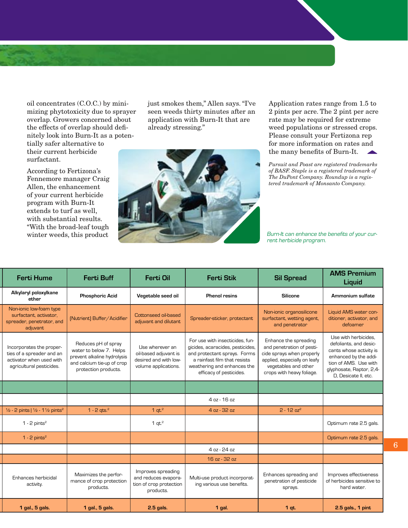oil concentrates (C.O.C.) by minimizing phytotoxicity due to sprayer overlap. Growers concerned about the effects of overlap should definitely look into Burn-It as a poten-

tially safer alternative to their current herbicide surfactant.

According to Fertizona's Fennemore manager Craig Allen, the enhancement of your current herbicide program with Burn-It extends to turf as well, with substantial results. "With the broad-leaf tough winter weeds, this product

just smokes them," Allen says. "I've seen weeds thirty minutes after an application with Burn-It that are already stressing."

![](_page_4_Picture_4.jpeg)

Application rates range from 1.5 to 2 pints per acre. The 2 pint per acre rate may be required for extreme weed populations or stressed crops. Please consult your Fertizona rep for more information on rates and the many benefits of Burn-It.

*Pursuit and Poast are registered trademarks of BASF. Staple is a registered trademark of The DuPont Company. Roundup is a registered trademark of Monsanto Company.*

Burn-It can enhance the benefits of your current herbicide program.

| <b>Ferti Hume</b>                                                                                             | <b>Ferti Buff</b>                                                                                                                   | Ferti Oil                                                                                 | <b>Ferti Stik</b>                                                                                                                                                                             | <b>Sil Spread</b>                                                                                                                                                    | <b>AMS Premium</b><br>Liquid                                                                                                                                                    |
|---------------------------------------------------------------------------------------------------------------|-------------------------------------------------------------------------------------------------------------------------------------|-------------------------------------------------------------------------------------------|-----------------------------------------------------------------------------------------------------------------------------------------------------------------------------------------------|----------------------------------------------------------------------------------------------------------------------------------------------------------------------|---------------------------------------------------------------------------------------------------------------------------------------------------------------------------------|
| Alkylaryl poloxylkane<br>ether                                                                                | <b>Phosphoric Acid</b>                                                                                                              | Vegetable seed oil                                                                        | <b>Phenol resins</b>                                                                                                                                                                          | Silicone                                                                                                                                                             | Ammonium sulfate                                                                                                                                                                |
| Non-ionic low-foam type<br>surfactant, activator,<br>spreader, penetrator, and<br>adjuvant                    | [Nutrient] Buffer/Acidifier                                                                                                         | Cottonseed oil-based<br>adjuvant and dilutant                                             | Spreader-sticker, protectant                                                                                                                                                                  | Non-ionic organosilicone<br>surfactant, wetting agent,<br>and penetrator                                                                                             | Liquid AMS water con-<br>ditioner, activator, and<br>defoamer                                                                                                                   |
| Incorporates the proper-<br>ties of a spreader and an<br>activator when used with<br>agricultural pesticides. | Reduces pH of spray<br>water to below 7. Helps<br>prevent alkaline hydrolysis<br>and calcium tie-up of crop<br>protection products. | Use wherever an<br>oil-based adjuvant is<br>desired and with low-<br>volume applications. | For use with insecticides, fun-<br>gicides, acaracides, pesticides,<br>and protectant sprays. Forms<br>a rainfast film that resists<br>weathering and enhances the<br>efficacy of pesticides. | Enhance the spreading<br>and penetration of pesti-<br>cide sprays when properly<br>applied, especially on leafy<br>vegetables and other<br>crops with heavy foliage. | Use with herbicides,<br>defoliants, and desic-<br>cants whose activity is<br>enhanced by the addi-<br>tion of AMS. Use with<br>glyphosate, Raptor, 2,4-<br>D, Desicate II, etc. |
|                                                                                                               |                                                                                                                                     |                                                                                           |                                                                                                                                                                                               |                                                                                                                                                                      |                                                                                                                                                                                 |
|                                                                                                               |                                                                                                                                     |                                                                                           | 4 oz - 16 oz                                                                                                                                                                                  |                                                                                                                                                                      |                                                                                                                                                                                 |
| 1/2 - 2 pints   1/2 - 1 1/2 pints <sup>2</sup>                                                                | $1 - 2$ qts. <sup>2</sup>                                                                                                           | 1 $qt.^2$                                                                                 | 4 oz - 32 oz                                                                                                                                                                                  | $2 - 12$ oz <sup>2</sup>                                                                                                                                             |                                                                                                                                                                                 |
| 1 - 2 pints $2$                                                                                               |                                                                                                                                     | 1 $qt.^2$                                                                                 |                                                                                                                                                                                               |                                                                                                                                                                      | Optimum rate 2.5 gals.                                                                                                                                                          |
| $1 - 2$ pints <sup>2</sup>                                                                                    |                                                                                                                                     |                                                                                           |                                                                                                                                                                                               |                                                                                                                                                                      | Optimum rate 2.5 gals.                                                                                                                                                          |
|                                                                                                               |                                                                                                                                     |                                                                                           | 4 oz - 24 oz                                                                                                                                                                                  |                                                                                                                                                                      |                                                                                                                                                                                 |
|                                                                                                               |                                                                                                                                     |                                                                                           | 16 oz - 32 oz                                                                                                                                                                                 |                                                                                                                                                                      |                                                                                                                                                                                 |
| Enhances herbicidal<br>activity.                                                                              | Maximizes the perfor-<br>mance of crop protection<br>products.                                                                      | Improves spreading<br>and reduces evapora-<br>tion of crop protection<br>products.        | Multi-use product incorporat-<br>ing various use benefits.                                                                                                                                    | Enhances spreading and<br>penetration of pesticide<br>sprays.                                                                                                        | Improves effectiveness<br>of herbicides sensitive to<br>hard water.                                                                                                             |
| 1 gal., 5 gals.                                                                                               | 1 gal., 5 gals.                                                                                                                     | 2.5 gals.                                                                                 | 1 gal.                                                                                                                                                                                        | $1$ qt.                                                                                                                                                              | 2.5 gals., 1 pint                                                                                                                                                               |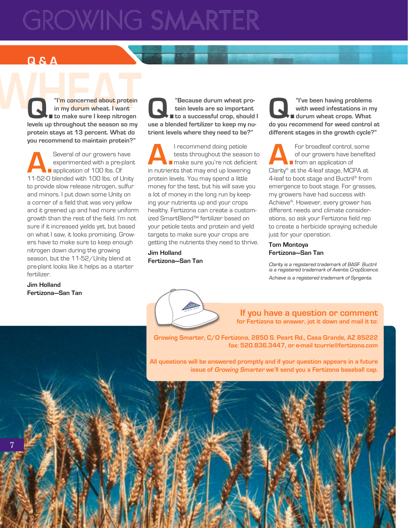# **GROWING SMARTER**

## **Q & A**

**WHEAT**<br> **WHEAT**<br> **WHEAT**<br> **WHEAT**<br> **CONTAINS**<br> **CONTAINSPAND IN THE CONTRACT OF THE CONTRACT OF THE CONTRACT OF THE CONTRACT OF THE CONTRACT OF THE CONTRACT OF THE CONTRACT OF THE CONTRACT OF THE CONTRACT OF THE CONTRACT Q.** "I'm concerned about protein in my durum wheat. I want<br>levels up throughout the season so my **in my durum wheat. I want to make sure I keep nitrogen protein stays at 13 percent. What do you recommend to maintain protein?"**

> **A.**Several of our growers have experimented with a pre-plant **application of 100 lbs. Of** 11-52-0 blended with 100 lbs. of Unity to provide slow release nitrogen, sulfur and minors. I put down some Unity on a corner of a field that was very yellow and it greened up and had more uniform growth than the rest of the field. I'm not sure if it increased yields yet, but based on what I saw, it looks promising. Growers have to make sure to keep enough nitrogen down during the growing season, but the 11-52/Unity blend at pre-plant looks like it helps as a starter fertilizer.

**Jim Holland Fertizona—San Tan**

**C.** "Because durum wheat pro-<br>tein levels are so important<br>use a blended fertilizer to keep my nu**tein levels are so important**  ■ to a successful crop, should I **trient levels where they need to be?"**

**A.**<br>I recommend doing petiole<br>tests throughout the seaso<br>in putrients that may end up lowering tests throughout the season to **nake sure you're not deficient** in nutrients that may end up lowering protein levels. You may spend a little money for the test, but his will save you a lot of money in the long run by keeping your nutrients up and your crops healthy. Fertizona can create a customized SmartBlend™ fertilizer based on your petiole tests and protein and yield targets to make sure your crops are getting the nutrients they need to thrive.

**Jim Holland Fertizona—San Tan**

![](_page_5_Picture_8.jpeg)

**C.** "I've been having problems"<br>with weed infestations in m<br>do you recommend for weed control **with weed infestations in my durum wheat crops. What do you recommend for weed control at different stages in the growth cycle?"**

**A.**For broadleaf control, some of our growers have benefited **from an application of** Clarity® at the 4-leaf stage, MCPA at 4-leaf to boot stage and Buctril® from emergence to boot stage. For grasses, my growers have had success with Achieve®. However, every grower has different needs and climate considerations, so ask your Fertizona field rep to create a herbicide spraying schedule just for your operation.

#### **Tom Montoya Fertizona—San Tan**

Clarity is a registered trademark of BASF. Buctril is a registered trademark of Aventis CropScience. Achieve is a registered trademark of Syngenta.

THE REPORT OF A RUN AND MANUSCRIPT OF A RUN AND RELEASED FOR A RUN AND RELEASED FOR A RUN AND RUN AND RUN AND RUN AND RUN AND RUN AND RUN AND RUN AND RUN AND RUN AND RUN AND RUN AND RUN AND RUN AND RUN AND RUN AND RUN AND

**If you have a question or comment for Fertizona to answer, jot it down and mail it to:**

**Growing Smarter, C/O Fertizona, 2850 S. Peart Rd., Casa Grande, AZ 85222 fax: 520.836.3447, or e-mail tcurrie@fertizona.com**

**All questions will be answered promptly and if your question appears in a future issue of Growing Smarter we'll send you a Fertizona baseball cap.**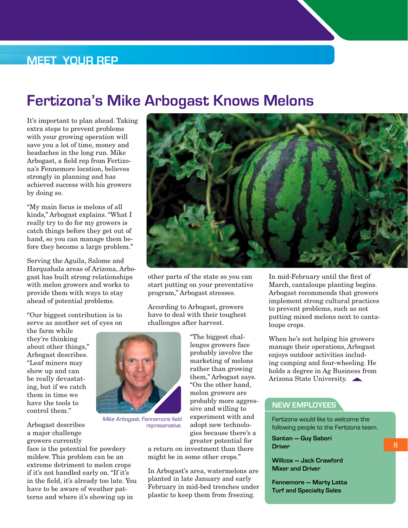## **MEET YOUR REP**

## **Fertizona's Mike Arbogast Knows Melons**

It's important to plan ahead. Taking extra steps to prevent problems with your growing operation will save you a lot of time, money and headaches in the long run. Mike Arbogast, a field rep from Fertizona's Fennemore location, believes strongly in planning and has achieved success with his growers by doing so.

"My main focus is melons of all kinds," Arbogast explains. "What I really try to do for my growers is catch things before they get out of hand, so you can manage them before they become a large problem."

Serving the Aguila, Salome and Harquahala areas of Arizona, Arbogast has built strong relationships with melon growers and works to provide them with ways to stay ahead of potential problems.

"Our biggest contribution is to serve as another set of eyes on

the farm while they're thinking about other things," Arbogast describes. "Leaf miners may show up and can be really devastating, but if we catch them in time we have the tools to control them."

![](_page_6_Picture_7.jpeg)

 $\frac{1}{2}$  Breater potential for  $\frac{1}{2}$  a return on investment than there  $\frac{1}{2}$ face is the potential for powdery mildew. This problem can be an extreme detriment to melon crops if it's not handled early on. "If it's in the field, it's already too late. You have to be aware of weather patterns and where it's showing up in

![](_page_6_Picture_9.jpeg)

other parts of the state so you can start putting on your preventative program," Arbogast stresses.

According to Arbogast, growers have to deal with their toughest challenges after harvest.

![](_page_6_Picture_12.jpeg)

Mike Arbogast, Fennemore field represenative.

"The biggest challenges growers face probably involve the marketing of melons rather than growing them," Arbogast says. "On the other hand, melon growers are probably more aggressive and willing to experiment with and adopt new technologies because there's a greater potential for

a return on investment than there might be in some other crops."

In Arbogast's area, watermelons are planted in late January and early February in mid-bed trenches under plastic to keep them from freezing.

In mid-February until the first of March, cantaloupe planting begins. Arbogast recommends that growers implement strong cultural practices to prevent problems, such as not putting mixed melons next to cantaloupe crops.

When he's not helping his growers manage their operations, Arbogast enjoys outdoor activities including camping and four-wheeling. He holds a degree in Ag Business from Arizona State University.

## **NEW EMPLOYEES**

Fertizona would like to welcome the following people to the Fertizona team.

**Santan — Guy Sabori Driver**

**Willcox — Jack Crawford Mixer and Driver**

**Fennemore — Marty Latta Turf and Specialty Sales**